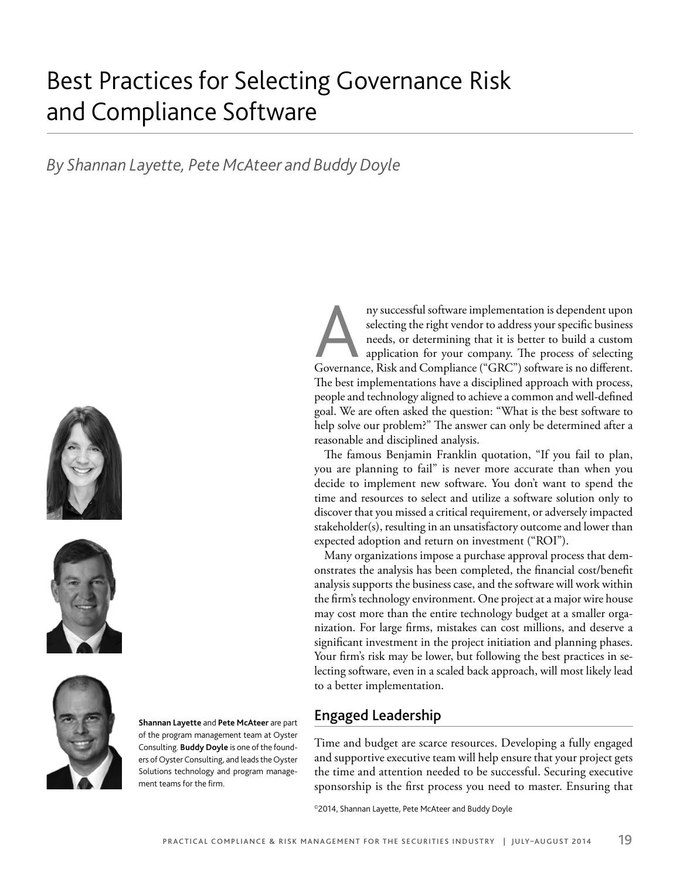# Best Practices for Selecting Governance Risk and Compliance Software

# *By Shannan Layette, Pete McAteer and Buddy Doyle*







**Shannan Layette** and **Pete McAteer** are part of the program management team at Oyster Consulting. **Buddy Doyle** is one of the founders of Oyster Consulting, and leads the Oyster Solutions technology and program management teams for the firm.

Any successful software implementation is dependent upon selecting the right vendor to address your specific business needs, or determining that it is better to build a custom application for your company. The process of s selecting the right vendor to address your specific business needs, or determining that it is better to build a custom application for your company. The process of selecting The best implementations have a disciplined approach with process, people and technology aligned to achieve a common and well-defined goal. We are often asked the question: "What is the best software to help solve our problem?" The answer can only be determined after a reasonable and disciplined analysis.

The famous Benjamin Franklin quotation, "If you fail to plan, you are planning to fail" is never more accurate than when you decide to implement new software. You don't want to spend the time and resources to select and utilize a software solution only to discover that you missed a critical requirement, or adversely impacted stakeholder(s), resulting in an unsatisfactory outcome and lower than expected adoption and return on investment ("ROI").

Many organizations impose a purchase approval process that demonstrates the analysis has been completed, the financial cost/benefit analysis supports the business case, and the software will work within the firm's technology environment. One project at a major wire house may cost more than the entire technology budget at a smaller organization. For large firms, mistakes can cost millions, and deserve a significant investment in the project initiation and planning phases. Your firm's risk may be lower, but following the best practices in selecting software, even in a scaled back approach, will most likely lead to a better implementation.

# **Engaged Leadership**

Time and budget are scarce resources. Developing a fully engaged and supportive executive team will help ensure that your project gets the time and attention needed to be successful. Securing executive sponsorship is the first process you need to master. Ensuring that

©2014, Shannan Layette, Pete McAteer and Buddy Doyle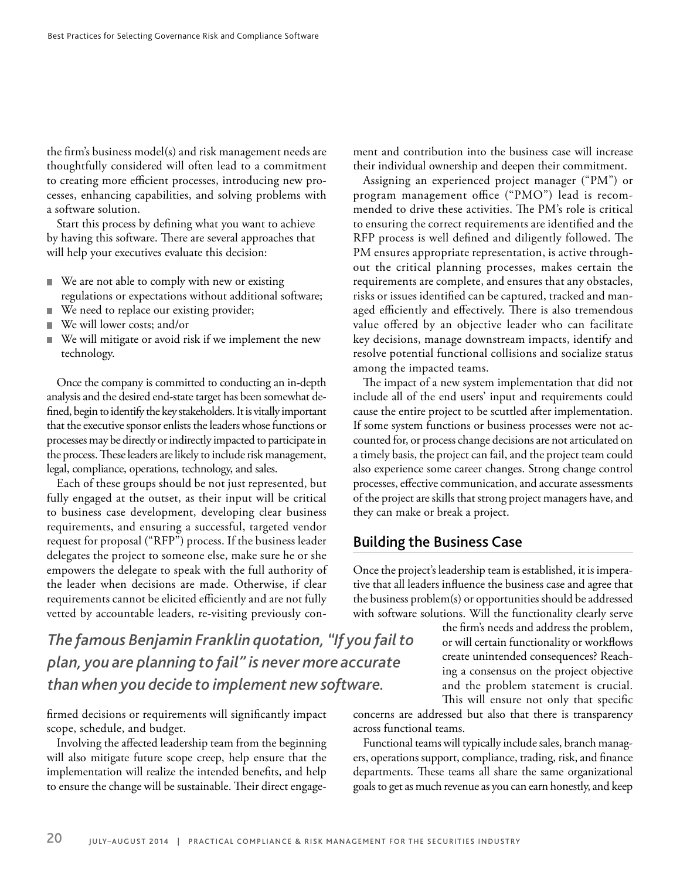the firm's business model(s) and risk management needs are thoughtfully considered will often lead to a commitment to creating more efficient processes, introducing new processes, enhancing capabilities, and solving problems with a software solution.

Start this process by defining what you want to achieve by having this software. There are several approaches that will help your executives evaluate this decision:

- We are not able to comply with new or existing ш regulations or expectations without additional software;
- We need to replace our existing provider;
- We will lower costs; and/or
- We will mitigate or avoid risk if we implement the new technology.

Once the company is committed to conducting an in-depth analysis and the desired end-state target has been somewhat defined, begin to identify the key stakeholders. It is vitally important that the executive sponsor enlists the leaders whose functions or processes may be directly or indirectly impacted to participate in the process. These leaders are likely to include risk management, legal, compliance, operations, technology, and sales.

Each of these groups should be not just represented, but fully engaged at the outset, as their input will be critical to business case development, developing clear business requirements, and ensuring a successful, targeted vendor request for proposal ("RFP") process. If the business leader delegates the project to someone else, make sure he or she empowers the delegate to speak with the full authority of the leader when decisions are made. Otherwise, if clear requirements cannot be elicited efficiently and are not fully vetted by accountable leaders, re-visiting previously con-

*The famous Benjamin Franklin quotation, "If you fail to plan, you are planning to fail" is never more accurate than when you decide to implement new software.*

firmed decisions or requirements will significantly impact scope, schedule, and budget.

Involving the affected leadership team from the beginning will also mitigate future scope creep, help ensure that the implementation will realize the intended benefits, and help to ensure the change will be sustainable. Their direct engagement and contribution into the business case will increase their individual ownership and deepen their commitment.

Assigning an experienced project manager ("PM") or program management office ("PMO") lead is recommended to drive these activities. The PM's role is critical to ensuring the correct requirements are identified and the RFP process is well defined and diligently followed. The PM ensures appropriate representation, is active throughout the critical planning processes, makes certain the requirements are complete, and ensures that any obstacles, risks or issues identified can be captured, tracked and managed efficiently and effectively. There is also tremendous value offered by an objective leader who can facilitate key decisions, manage downstream impacts, identify and resolve potential functional collisions and socialize status among the impacted teams.

The impact of a new system implementation that did not include all of the end users' input and requirements could cause the entire project to be scuttled after implementation. If some system functions or business processes were not accounted for, or process change decisions are not articulated on a timely basis, the project can fail, and the project team could also experience some career changes. Strong change control processes, effective communication, and accurate assessments of the project are skills that strong project managers have, and they can make or break a project.

#### **Building the Business Case**

Once the project's leadership team is established, it is imperative that all leaders influence the business case and agree that the business problem(s) or opportunities should be addressed with software solutions. Will the functionality clearly serve

> the firm's needs and address the problem, or will certain functionality or workflows create unintended consequences? Reaching a consensus on the project objective and the problem statement is crucial. This will ensure not only that specific

concerns are addressed but also that there is transparency across functional teams.

Functional teams will typically include sales, branch managers, operations support, compliance, trading, risk, and finance departments. These teams all share the same organizational goals to get as much revenue as you can earn honestly, and keep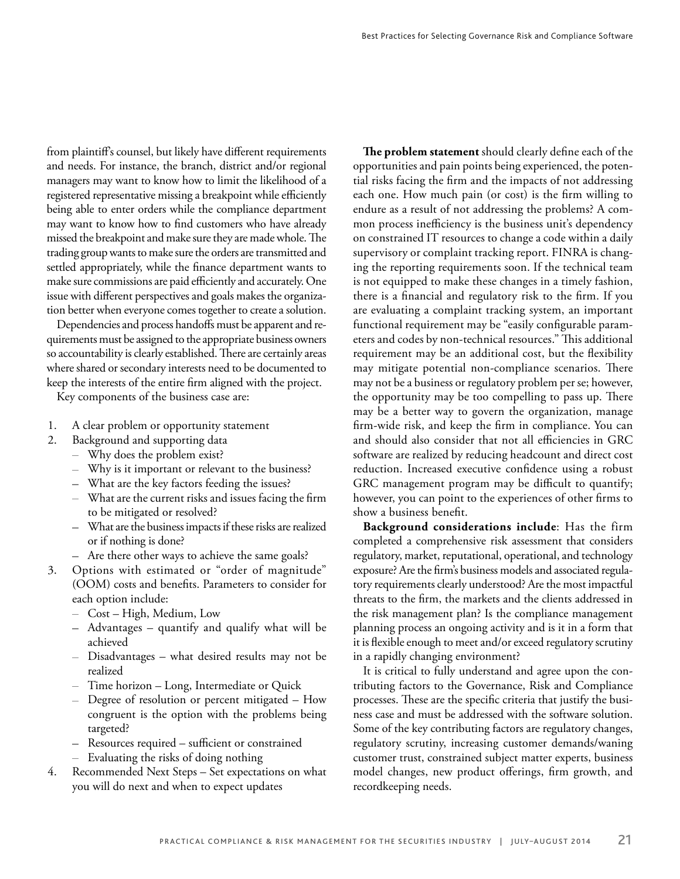from plaintiff's counsel, but likely have different requirements and needs. For instance, the branch, district and/or regional managers may want to know how to limit the likelihood of a registered representative missing a breakpoint while efficiently being able to enter orders while the compliance department may want to know how to find customers who have already missed the breakpoint and make sure they are made whole. The trading group wants to make sure the orders are transmitted and settled appropriately, while the finance department wants to make sure commissions are paid efficiently and accurately. One issue with different perspectives and goals makes the organization better when everyone comes together to create a solution.

Dependencies and process handoffs must be apparent and requirements must be assigned to the appropriate business owners so accountability is clearly established. There are certainly areas where shared or secondary interests need to be documented to keep the interests of the entire firm aligned with the project.

Key components of the business case are:

- 1. A clear problem or opportunity statement
- 2. Background and supporting data
	- Why does the problem exist?
	- Why is it important or relevant to the business?
	- What are the key factors feeding the issues?
	- $-$  What are the current risks and issues facing the firm to be mitigated or resolved?
	- What are the business impacts if these risks are realized or if nothing is done?
	- Are there other ways to achieve the same goals?
- 3. Options with estimated or "order of magnitude" (OOM) costs and benefits. Parameters to consider for each option include:
	- Cost High, Medium, Low
	- Advantages quantify and qualify what will be achieved
	- Disadvantages what desired results may not be realized
	- Time horizon Long, Intermediate or Quick
	- Degree of resolution or percent mitigated How congruent is the option with the problems being targeted?
	- Resources required sufficient or constrained
	- Evaluating the risks of doing nothing
- 4. Recommended Next Steps Set expectations on what you will do next and when to expect updates

**The problem statement** should clearly define each of the opportunities and pain points being experienced, the potential risks facing the firm and the impacts of not addressing each one. How much pain (or cost) is the firm willing to endure as a result of not addressing the problems? A common process inefficiency is the business unit's dependency on constrained IT resources to change a code within a daily supervisory or complaint tracking report. FINRA is changing the reporting requirements soon. If the technical team is not equipped to make these changes in a timely fashion, there is a financial and regulatory risk to the firm. If you are evaluating a complaint tracking system, an important functional requirement may be "easily configurable parameters and codes by non-technical resources." This additional requirement may be an additional cost, but the flexibility may mitigate potential non-compliance scenarios. There may not be a business or regulatory problem per se; however, the opportunity may be too compelling to pass up. There may be a better way to govern the organization, manage firm-wide risk, and keep the firm in compliance. You can and should also consider that not all efficiencies in GRC software are realized by reducing headcount and direct cost reduction. Increased executive confidence using a robust GRC management program may be difficult to quantify; however, you can point to the experiences of other firms to show a business benefit.

**Background considerations include**: Has the firm completed a comprehensive risk assessment that considers regulatory, market, reputational, operational, and technology exposure? Are the firm's business models and associated regulatory requirements clearly understood? Are the most impactful threats to the firm, the markets and the clients addressed in the risk management plan? Is the compliance management planning process an ongoing activity and is it in a form that it is flexible enough to meet and/or exceed regulatory scrutiny in a rapidly changing environment?

It is critical to fully understand and agree upon the contributing factors to the Governance, Risk and Compliance processes. These are the specific criteria that justify the business case and must be addressed with the software solution. Some of the key contributing factors are regulatory changes, regulatory scrutiny, increasing customer demands/waning customer trust, constrained subject matter experts, business model changes, new product offerings, firm growth, and recordkeeping needs.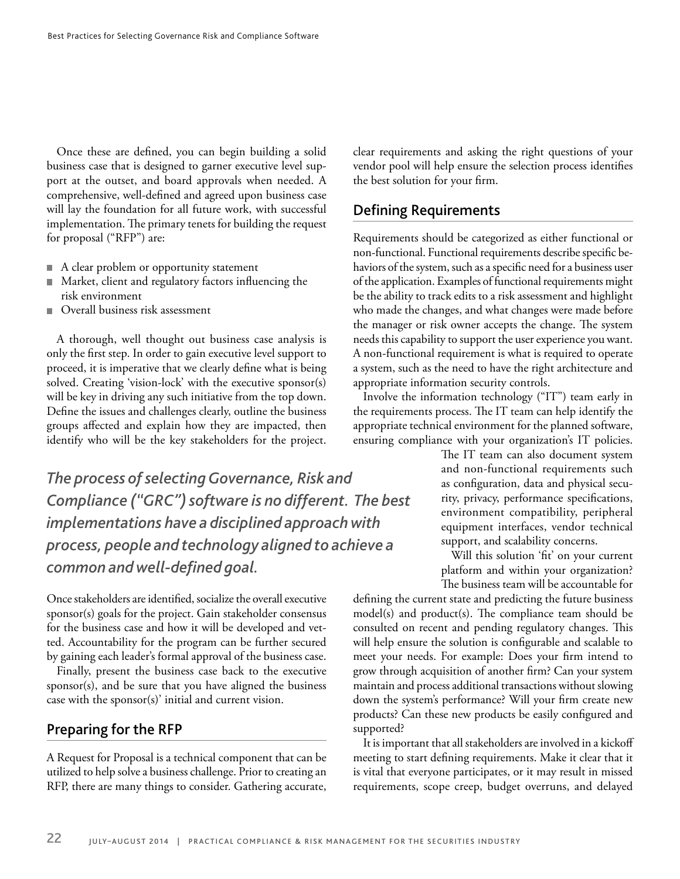Once these are defined, you can begin building a solid business case that is designed to garner executive level support at the outset, and board approvals when needed. A comprehensive, well-defined and agreed upon business case will lay the foundation for all future work, with successful implementation. The primary tenets for building the request for proposal ("RFP") are:

- A clear problem or opportunity statement
- Market, client and regulatory factors influencing the risk environment
- Overall business risk assessment

A thorough, well thought out business case analysis is only the first step. In order to gain executive level support to proceed, it is imperative that we clearly define what is being solved. Creating 'vision-lock' with the executive sponsor(s) will be key in driving any such initiative from the top down. Define the issues and challenges clearly, outline the business groups affected and explain how they are impacted, then identify who will be the key stakeholders for the project.

*The process of selecting Governance, Risk and Compliance ("GRC") software is no different. The best implementations have a disciplined approach with process, people and technology aligned to achieve a*  common and well-defined goal.

Once stakeholders are identified, socialize the overall executive sponsor(s) goals for the project. Gain stakeholder consensus for the business case and how it will be developed and vetted. Accountability for the program can be further secured by gaining each leader's formal approval of the business case.

Finally, present the business case back to the executive sponsor(s), and be sure that you have aligned the business case with the sponsor(s)' initial and current vision.

#### **Preparing for the RFP**

A Request for Proposal is a technical component that can be utilized to help solve a business challenge. Prior to creating an RFP, there are many things to consider. Gathering accurate,

clear requirements and asking the right questions of your vendor pool will help ensure the selection process identifies the best solution for your firm.

#### **Defining Requirements**

Requirements should be categorized as either functional or non-functional. Functional requirements describe specific behaviors of the system, such as a specific need for a business user of the application. Examples of functional requirements might be the ability to track edits to a risk assessment and highlight who made the changes, and what changes were made before the manager or risk owner accepts the change. The system needs this capability to support the user experience you want. A non-functional requirement is what is required to operate a system, such as the need to have the right architecture and appropriate information security controls.

Involve the information technology ("IT") team early in the requirements process. The IT team can help identify the appropriate technical environment for the planned software, ensuring compliance with your organization's IT policies.

> The IT team can also document system and non-functional requirements such as configuration, data and physical security, privacy, performance specifications, environment compatibility, peripheral equipment interfaces, vendor technical support, and scalability concerns.

> Will this solution 'fit' on your current platform and within your organization? The business team will be accountable for

defining the current state and predicting the future business  $model(s)$  and  $product(s)$ . The compliance team should be consulted on recent and pending regulatory changes. This will help ensure the solution is configurable and scalable to meet your needs. For example: Does your firm intend to grow through acquisition of another firm? Can your system maintain and process additional transactions without slowing down the system's performance? Will your firm create new products? Can these new products be easily configured and supported?

It is important that all stakeholders are involved in a kickoff meeting to start defining requirements. Make it clear that it is vital that everyone participates, or it may result in missed requirements, scope creep, budget overruns, and delayed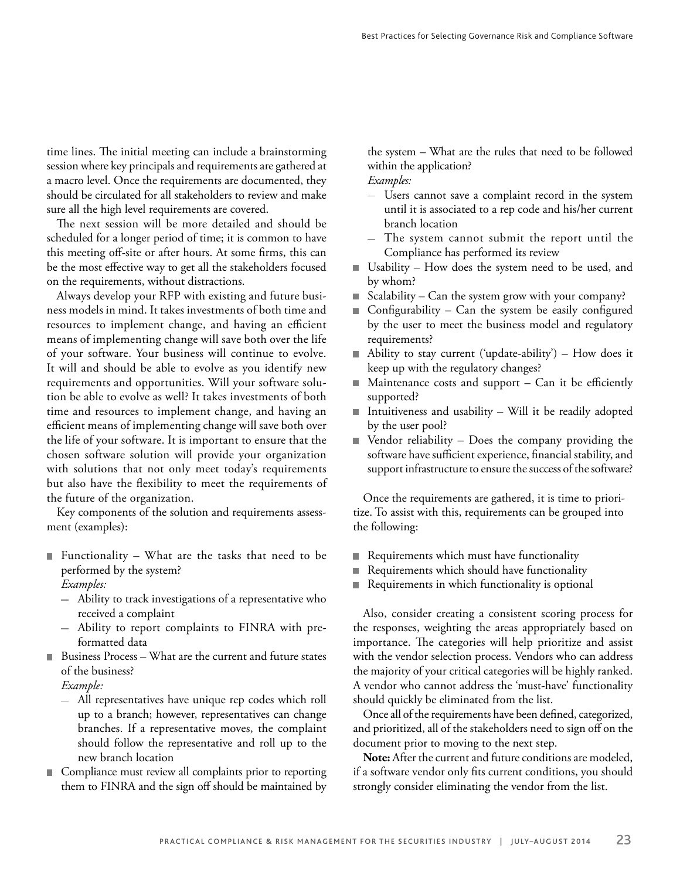time lines. The initial meeting can include a brainstorming session where key principals and requirements are gathered at a macro level. Once the requirements are documented, they should be circulated for all stakeholders to review and make sure all the high level requirements are covered.

The next session will be more detailed and should be scheduled for a longer period of time; it is common to have this meeting off-site or after hours. At some firms, this can be the most effective way to get all the stakeholders focused on the requirements, without distractions.

Always develop your RFP with existing and future business models in mind. It takes investments of both time and resources to implement change, and having an efficient means of implementing change will save both over the life of your software. Your business will continue to evolve. It will and should be able to evolve as you identify new requirements and opportunities. Will your software solution be able to evolve as well? It takes investments of both time and resources to implement change, and having an efficient means of implementing change will save both over the life of your software. It is important to ensure that the chosen software solution will provide your organization with solutions that not only meet today's requirements but also have the flexibility to meet the requirements of the future of the organization.

Key components of the solution and requirements assessment (examples):

- Functionality What are the tasks that need to be performed by the system? *Examples:* 
	- Ability to track investigations of a representative who received a complaint
	- Ability to report complaints to FINRA with preformatted data
- Business Process What are the current and future states of the business?

*Example:* 

- All representatives have unique rep codes which roll up to a branch; however, representatives can change branches. If a representative moves, the complaint should follow the representative and roll up to the new branch location
- Compliance must review all complaints prior to reporting them to FINRA and the sign off should be maintained by

the system – What are the rules that need to be followed within the application?

*Examples:* 

- Users cannot save a complaint record in the system until it is associated to a rep code and his/her current branch location
- The system cannot submit the report until the Compliance has performed its review
- Usability How does the system need to be used, and by whom?
- Scalability Can the system grow with your company?  $\mathcal{L}_{\mathcal{A}}$
- $\Box$  Configurability Can the system be easily configured by the user to meet the business model and regulatory requirements?
- Ability to stay current ('update-ability') How does it keep up with the regulatory changes?
- Maintenance costs and support  $-$  Can it be efficiently supported?
- Intuitiveness and usability  $-$  Will it be readily adopted by the user pool?
- $\blacksquare$  Vendor reliability Does the company providing the software have sufficient experience, financial stability, and support infrastructure to ensure the success of the software?

Once the requirements are gathered, it is time to prioritize. To assist with this, requirements can be grouped into the following:

- Requirements which must have functionality
- Requirements which should have functionality
- Requirements in which functionality is optional  $\blacksquare$

Also, consider creating a consistent scoring process for the responses, weighting the areas appropriately based on importance. The categories will help prioritize and assist with the vendor selection process. Vendors who can address the majority of your critical categories will be highly ranked. A vendor who cannot address the 'must-have' functionality should quickly be eliminated from the list.

Once all of the requirements have been defined, categorized, and prioritized, all of the stakeholders need to sign off on the document prior to moving to the next step.

**Note:** After the current and future conditions are modeled, if a software vendor only fits current conditions, you should strongly consider eliminating the vendor from the list.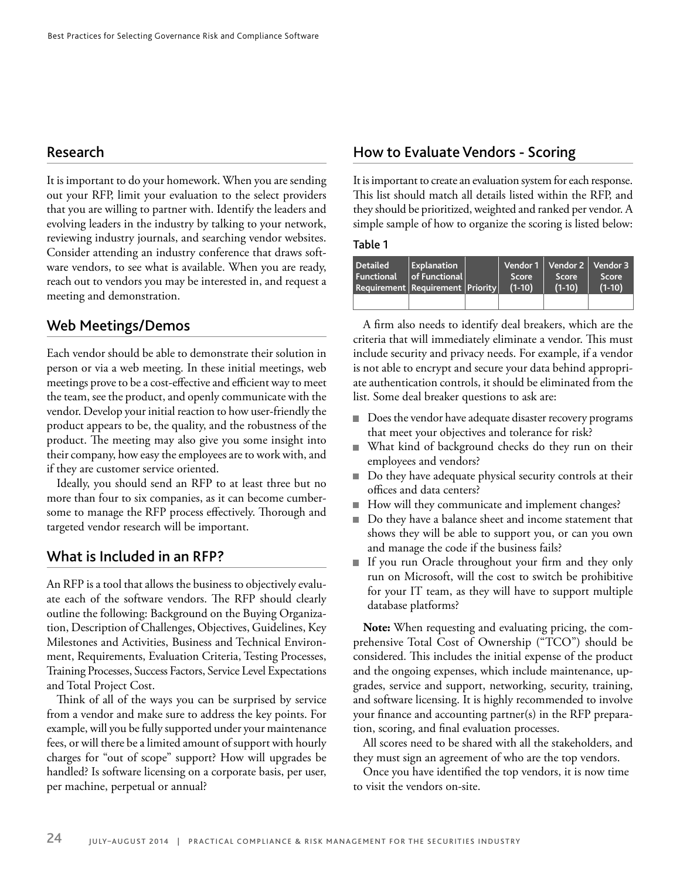#### **Research**

It is important to do your homework. When you are sending out your RFP, limit your evaluation to the select providers that you are willing to partner with. Identify the leaders and evolving leaders in the industry by talking to your network, reviewing industry journals, and searching vendor websites. Consider attending an industry conference that draws software vendors, to see what is available. When you are ready, reach out to vendors you may be interested in, and request a meeting and demonstration.

#### **Web Meetings/Demos**

Each vendor should be able to demonstrate their solution in person or via a web meeting. In these initial meetings, web meetings prove to be a cost-effective and efficient way to meet the team, see the product, and openly communicate with the vendor. Develop your initial reaction to how user-friendly the product appears to be, the quality, and the robustness of the product. The meeting may also give you some insight into their company, how easy the employees are to work with, and if they are customer service oriented.

Ideally, you should send an RFP to at least three but no more than four to six companies, as it can become cumbersome to manage the RFP process effectively. Thorough and targeted vendor research will be important.

#### **What is Included in an RFP?**

An RFP is a tool that allows the business to objectively evaluate each of the software vendors. The RFP should clearly outline the following: Background on the Buying Organization, Description of Challenges, Objectives, Guidelines, Key Milestones and Activities, Business and Technical Environment, Requirements, Evaluation Criteria, Testing Processes, Training Processes, Success Factors, Service Level Expectations and Total Project Cost.

Think of all of the ways you can be surprised by service from a vendor and make sure to address the key points. For example, will you be fully supported under your maintenance fees, or will there be a limited amount of support with hourly charges for "out of scope" support? How will upgrades be handled? Is software licensing on a corporate basis, per user, per machine, perpetual or annual?

#### **How to Evaluate Vendors - Scoring**

It is important to create an evaluation system for each response. This list should match all details listed within the RFP, and they should be prioritized, weighted and ranked per vendor. A simple sample of how to organize the scoring is listed below:

#### **Table 1**

| <b>Detailed</b><br><b>Functional</b><br><b>Requirement Requirement Priority</b> | Explanation<br><b>of Functional</b> | Score<br>$(1-10)$ | Vendor 1   Vendor 2   Vendor 3<br>Score<br>$(1-10)$ | Score<br>$(1-10)$ |
|---------------------------------------------------------------------------------|-------------------------------------|-------------------|-----------------------------------------------------|-------------------|
|                                                                                 |                                     |                   |                                                     |                   |

A firm also needs to identify deal breakers, which are the criteria that will immediately eliminate a vendor. This must include security and privacy needs. For example, if a vendor is not able to encrypt and secure your data behind appropriate authentication controls, it should be eliminated from the list. Some deal breaker questions to ask are:

- Does the vendor have adequate disaster recovery programs that meet your objectives and tolerance for risk?
- What kind of background checks do they run on their employees and vendors?
- Do they have adequate physical security controls at their offices and data centers?
- How will they communicate and implement changes?
- Do they have a balance sheet and income statement that  $\overline{\phantom{a}}$ shows they will be able to support you, or can you own and manage the code if the business fails?
- If you run Oracle throughout your firm and they only run on Microsoft, will the cost to switch be prohibitive for your IT team, as they will have to support multiple database platforms?

**Note:** When requesting and evaluating pricing, the comprehensive Total Cost of Ownership ("TCO") should be considered. This includes the initial expense of the product and the ongoing expenses, which include maintenance, upgrades, service and support, networking, security, training, and software licensing. It is highly recommended to involve your finance and accounting partner(s) in the RFP preparation, scoring, and final evaluation processes.

All scores need to be shared with all the stakeholders, and they must sign an agreement of who are the top vendors.

Once you have identified the top vendors, it is now time to visit the vendors on-site.